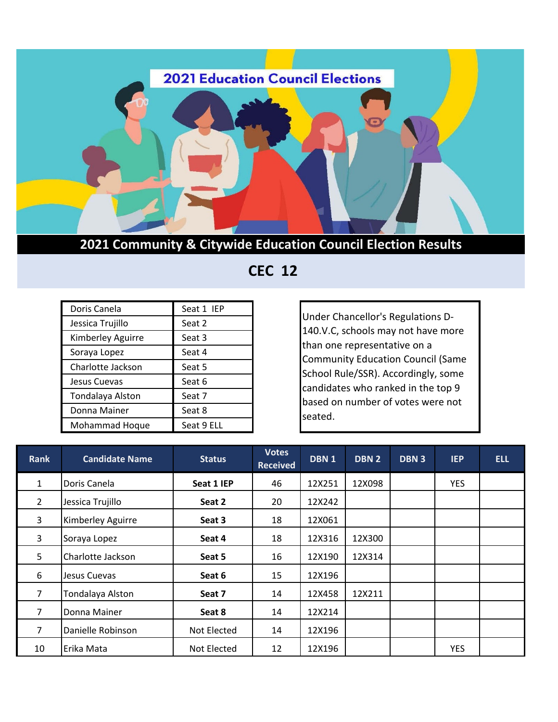

**2021 Community & Citywide Education Council Election Results**

 **CEC 12**

| Doris Canela      | Seat 1 IEP |
|-------------------|------------|
| Jessica Trujillo  | Seat 2     |
| Kimberley Aguirre | Seat 3     |
| Soraya Lopez      | Seat 4     |
| Charlotte Jackson | Seat 5     |
| Jesus Cuevas      | Seat 6     |
| Tondalaya Alston  | Seat 7     |
| Donna Mainer      | Seat 8     |
| Mohammad Hoque    | Seat 9 ELL |

Under Chancellor's Regulations D-140.V.C, schools may not have more than one representative on a Community Education Council (Same School Rule/SSR). Accordingly, some candidates who ranked in the top 9 based on number of votes were not seated.

| <b>Rank</b>    | <b>Candidate Name</b> | <b>Status</b> | <b>Votes</b><br><b>Received</b> | DBN <sub>1</sub> | <b>DBN2</b> | DBN <sub>3</sub> | <b>IEP</b> | <b>ELL</b> |
|----------------|-----------------------|---------------|---------------------------------|------------------|-------------|------------------|------------|------------|
| $\mathbf{1}$   | Doris Canela          | Seat 1 IEP    | 46                              | 12X251           | 12X098      |                  | <b>YES</b> |            |
| $\overline{2}$ | Jessica Trujillo      | Seat 2        | 20                              | 12X242           |             |                  |            |            |
| 3              | Kimberley Aguirre     | Seat 3        | 18                              | 12X061           |             |                  |            |            |
| 3              | Soraya Lopez          | Seat 4        | 18                              | 12X316           | 12X300      |                  |            |            |
| 5              | Charlotte Jackson     | Seat 5        | 16                              | 12X190           | 12X314      |                  |            |            |
| 6              | Jesus Cuevas          | Seat 6        | 15                              | 12X196           |             |                  |            |            |
| $\overline{7}$ | Tondalaya Alston      | Seat 7        | 14                              | 12X458           | 12X211      |                  |            |            |
| $\overline{7}$ | Donna Mainer          | Seat 8        | 14                              | 12X214           |             |                  |            |            |
| 7              | Danielle Robinson     | Not Elected   | 14                              | 12X196           |             |                  |            |            |
| 10             | Erika Mata            | Not Elected   | 12                              | 12X196           |             |                  | YES        |            |